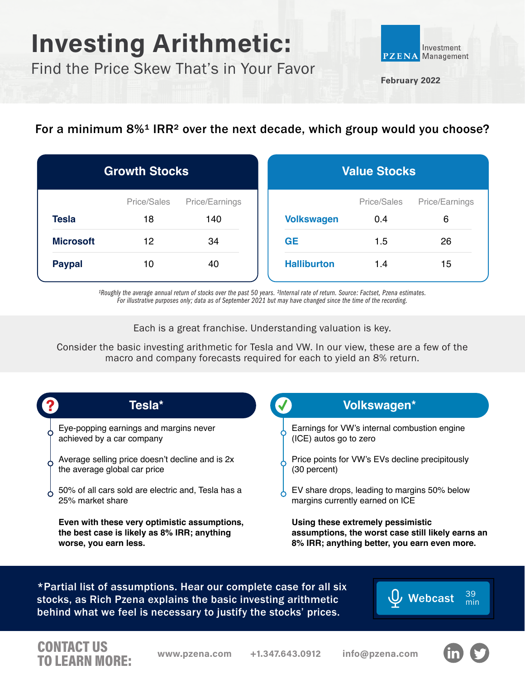## Investing Arithmetic:

Find the Price Skew That's in Your Favor



**February 2022**

## For a minimum 8%<sup>1</sup> IRR<sup>2</sup> over the next decade, which group would you choose?

| <b>Growth Stocks</b> |                   |                       | <b>Value Stocks</b> |                    |                     |
|----------------------|-------------------|-----------------------|---------------------|--------------------|---------------------|
| <b>Tesla</b>         | Price/Sales<br>18 | Price/Earnings<br>140 | <b>Volkswagen</b>   | Price/Sales<br>0.4 | Price/Earnings<br>6 |
| <b>Microsoft</b>     | 12                | 34                    | <b>GE</b>           | 1.5                | 26                  |
| <b>Paypal</b>        | 10                | 40                    | <b>Halliburton</b>  | 1.4                | 15                  |

*¹Roughly the average annual return of stocks over the past 50 years. ²Internal rate of return. Source: Factset, Pzena estimates. For illustrative purposes only; data as of September 2021 but may have changed since the time of the recording.*

Each is a great franchise. Understanding valuation is key.

Consider the basic investing arithmetic for Tesla and VW. In our view, these are a few of the macro and company forecasts required for each to yield an 8% return.

| Tesla*                                                                                                               | Volkswagen*                                                                                                                            |
|----------------------------------------------------------------------------------------------------------------------|----------------------------------------------------------------------------------------------------------------------------------------|
| Eye-popping earnings and margins never<br>achieved by a car company                                                  | Earnings for VW's internal combustion engine<br>(ICE) autos go to zero                                                                 |
| Average selling price doesn't decline and is 2x<br>the average global car price                                      | Price points for VW's EVs decline precipitously<br>(30 percent)                                                                        |
| 50% of all cars sold are electric and, Tesla has a<br>25% market share                                               | EV share drops, leading to margins 50% below<br>margins currently earned on ICE                                                        |
| Even with these very optimistic assumptions,<br>the best case is likely as 8% IRR; anything<br>worse, you earn less. | Using these extremely pessimistic<br>assumptions, the worst case still likely earns an<br>8% IRR; anything better, you earn even more. |

\*Partial list of assumptions. Hear our complete case for all six stocks, as Rich Pzena explains the basic investing arithmetic behind what we feel is necessary to justify the stocks' prices.